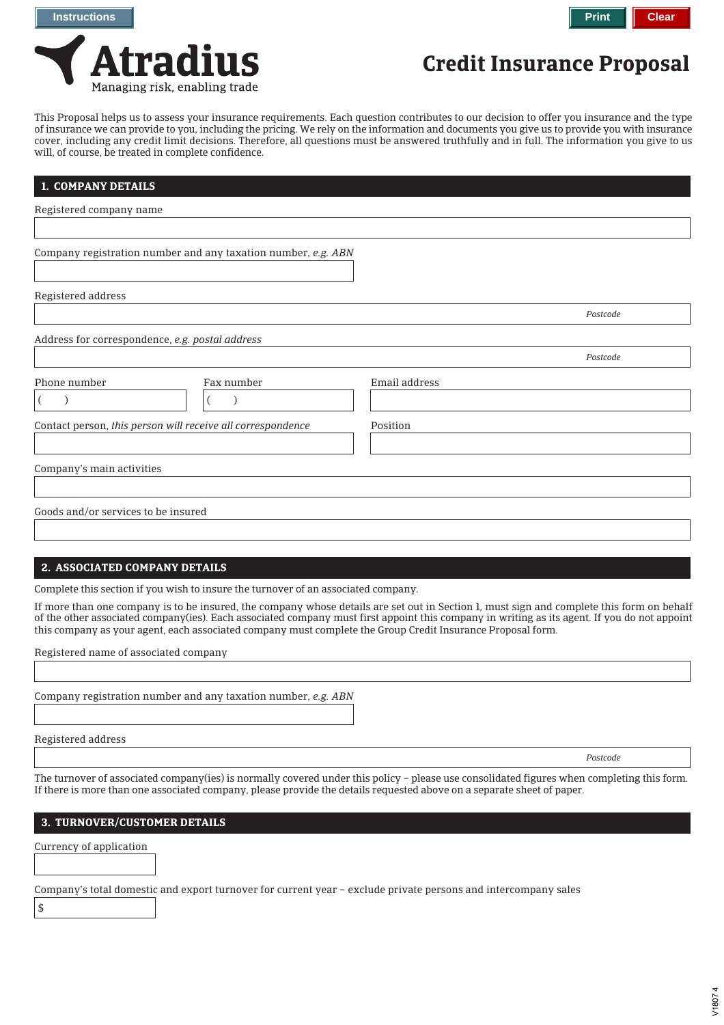

This Proposal helps us to assess your insurance requirements. Each question contributes to our decision to offer you insurance and the type of insurance we can provide to you, including the pricing. We rely on the information and documents you give us to provide you with insurance cover, including any credit limit decisions. Therefore, all questions must be answered truthfully and in full. The information you give to us will, of course, be treated in complete confidence.

| 1. COMPANY DETAILS                                            |               |          |
|---------------------------------------------------------------|---------------|----------|
| Registered company name                                       |               |          |
|                                                               |               |          |
| Company registration number and any taxation number, e.g. ABN |               |          |
| Registered address                                            |               |          |
|                                                               |               | Postcode |
| Address for correspondence, e.g. postal address               |               |          |
|                                                               |               | Postcode |
| Phone number<br>Fax number                                    | Email address |          |
|                                                               |               |          |
| Contact person, this person will receive all correspondence   | Position      |          |
|                                                               |               |          |
| Company's main activities                                     |               |          |
|                                                               |               |          |
| Goods and/or services to be insured                           |               |          |
|                                                               |               |          |

## **2. ASSOCIATED COMPANY DETAILS**

Complete this section if you wish to insure the turnover of an associated company.

If more than one company is to be insured, the company whose details are set out in Section 1, must sign and complete this form on behalf of the other associated company(ies). Each associated company must first appoint this company in writing as its agent. If you do not appoint this company as your agent, each associated company must complete the Group Credit Insurance Proposal form.

Registered name of associated company

Company registration number and any taxation number, *e.g. ABN*

Registered address

*Postcode*

The turnover of associated company(ies) is normally covered under this policy – please use consolidated figures when completing this form. If there is more than one associated company, please provide the details requested above on a separate sheet of paper.

# **3. TURNOVER/CUSTOMER DETAILS**

Currency of application

Company's total domestic and export turnover for current year – exclude private persons and intercompany sales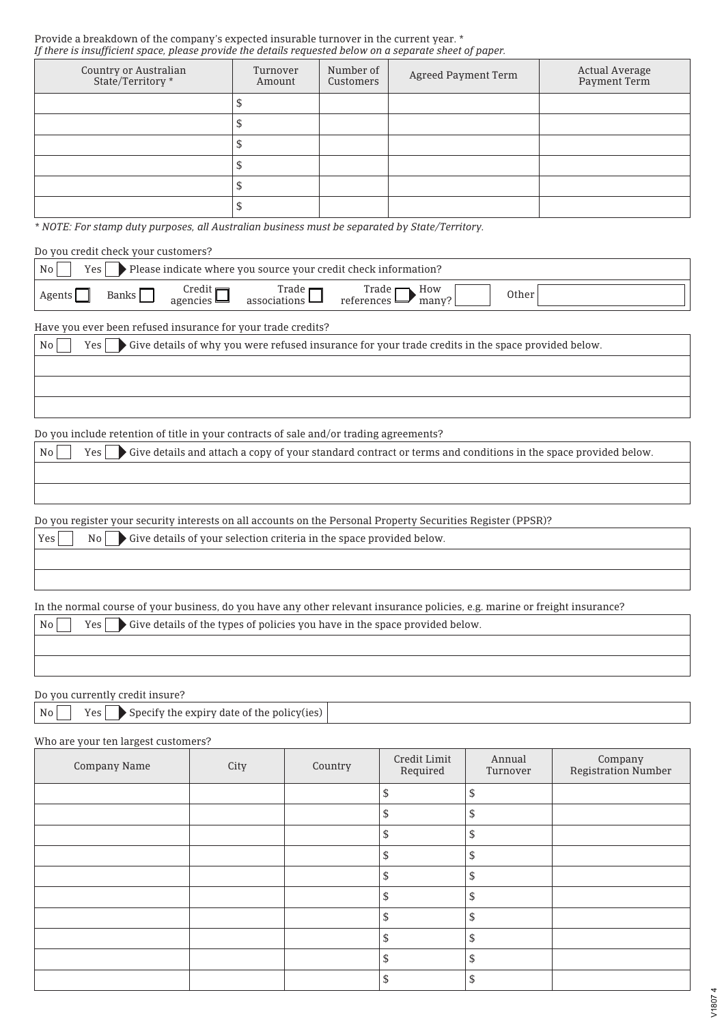### Provide a breakdown of the company's expected insurable turnover in the current year. \* *If there is insufficient space, please provide the details requested below on a separate sheet of paper.*

| Country or Australian<br>State/Territory * | Turnover<br>Amount | Number of<br>Customers | Agreed Payment Term | Actual Average<br>Payment Term |
|--------------------------------------------|--------------------|------------------------|---------------------|--------------------------------|
|                                            |                    |                        |                     |                                |
|                                            |                    |                        |                     |                                |
|                                            |                    |                        |                     |                                |
|                                            |                    |                        |                     |                                |
|                                            |                    |                        |                     |                                |
|                                            |                    |                        |                     |                                |

*\* NOTE: For stamp duty purposes, all Australian business must be separated by State/Territory.*

Do you credit check your customers?

| No     |       |                                            | $\gamma$ es $\blacktriangleright$ Please indicate where you source your credit check information? |                                               |       |       |  |
|--------|-------|--------------------------------------------|---------------------------------------------------------------------------------------------------|-----------------------------------------------|-------|-------|--|
| Agents | Banks | Credit $\blacksquare$<br>agencies $\equiv$ | Trade $\Box$<br>associations $\Box$                                                               | Trade $\blacksquare$ How<br>references $\Box$ | many? | Other |  |

Have you ever been refused insurance for your trade credits?

No Yes Give details of why you were refused insurance for your trade credits in the space provided below.

Do you include retention of title in your contracts of sale and/or trading agreements?

No Yes Give details and attach a copy of your standard contract or terms and conditions in the space provided below.

Do you register your security interests on all accounts on the Personal Property Securities Register (PPSR)?

| Yes <sup> </sup> | $\vert$ No $\vert$ $\vert$ $\bullet$ Give details of your selection criteria in the space provided below. |
|------------------|-----------------------------------------------------------------------------------------------------------|
|                  |                                                                                                           |
|                  |                                                                                                           |

In the normal course of your business, do you have any other relevant insurance policies, e.g. marine or freight insurance?

 $\begin{array}{|l|l|} \hline \text{Ne} & \text{Yes} & \text{Give details of the types of policies you have in the space provided below.} \hline \end{array}$ 

Do you currently credit insure?

|  |  | $\mathsf{No} \qquad \mathsf{Yes} \qquad \mathsf{Specify} \text{ the expiry date of the policy (ies) } \mid$ |  |
|--|--|-------------------------------------------------------------------------------------------------------------|--|
|--|--|-------------------------------------------------------------------------------------------------------------|--|

Who are your ten largest customers?

| Company Name | City | Country | Credit Limit<br>Required | Annual<br>Turnover | Company<br>Registration Number |
|--------------|------|---------|--------------------------|--------------------|--------------------------------|
|              |      |         |                          | \$                 |                                |
|              |      |         | \$                       | \$                 |                                |
|              |      |         | ታ                        | \$                 |                                |
|              |      |         |                          | \$                 |                                |
|              |      |         | æ                        | \$                 |                                |
|              |      |         | S                        | \$                 |                                |
|              |      |         | C                        | \$                 |                                |
|              |      |         | S                        | \$                 |                                |
|              |      |         | \$                       | \$                 |                                |
|              |      |         | \$                       | \$                 |                                |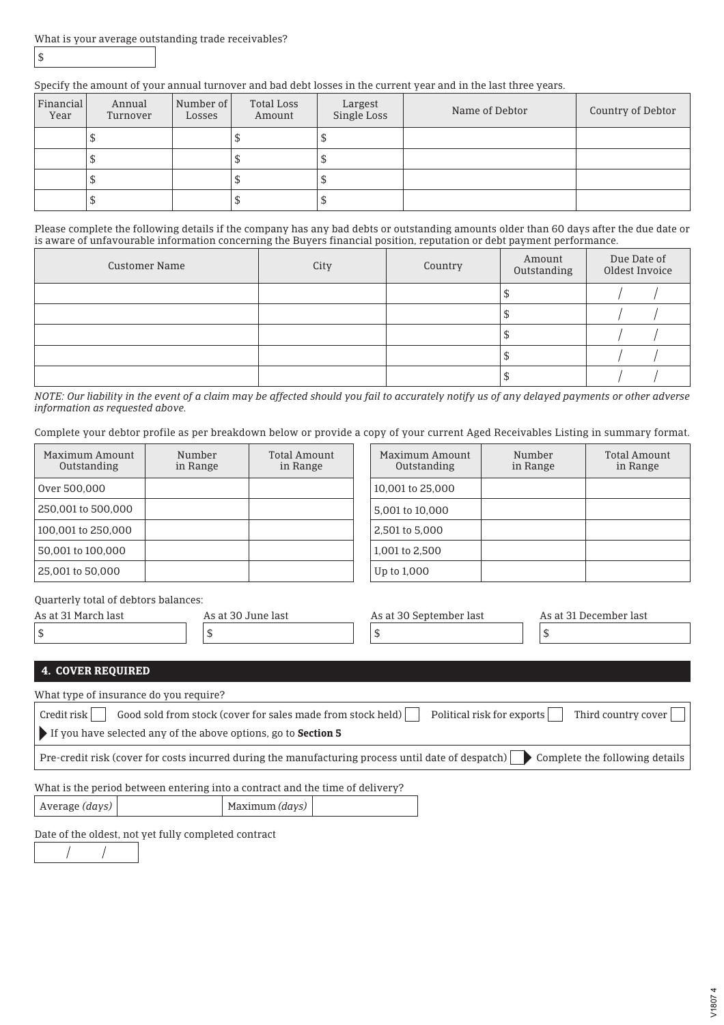\$

# Specify the amount of your annual turnover and bad debt losses in the current year and in the last three years.

| Financial<br>Year | Annual<br>Turnover | Number of<br>Losses | Total Loss<br>Amount | Largest<br>Single Loss | Name of Debtor | Country of Debtor |
|-------------------|--------------------|---------------------|----------------------|------------------------|----------------|-------------------|
|                   | ╜                  |                     |                      |                        |                |                   |
|                   | ↵                  |                     |                      |                        |                |                   |
|                   | ╜                  |                     |                      |                        |                |                   |
|                   | ۵D                 |                     |                      |                        |                |                   |

Please complete the following details if the company has any bad debts or outstanding amounts older than 60 days after the due date or is aware of unfavourable information concerning the Buyers financial position, reputation or debt payment performance.

| <b>Customer Name</b> | City | Country | Amount<br>Outstanding | Due Date of<br>Oldest Invoice |
|----------------------|------|---------|-----------------------|-------------------------------|
|                      |      |         |                       |                               |
|                      |      |         |                       |                               |
|                      |      |         |                       |                               |
|                      |      |         |                       |                               |
|                      |      |         |                       |                               |

*NOTE: Our liability in the event of a claim may be affected should you fail to accurately notify us of any delayed payments or other adverse information as requested above.*

Complete your debtor profile as per breakdown below or provide a copy of your current Aged Receivables Listing in summary format.

| Maximum Amount<br>Outstanding | Number<br>in Range | Total Amount<br>in Range | Maximum Amount<br>Outstanding | Number<br>in Range | Total Amount<br>in Range |
|-------------------------------|--------------------|--------------------------|-------------------------------|--------------------|--------------------------|
| Over 500,000                  |                    |                          | 10,001 to 25,000              |                    |                          |
| 250,001 to 500,000            |                    |                          | 5,001 to 10,000               |                    |                          |
| 100.001 to 250.000            |                    |                          | 2.501 to 5.000                |                    |                          |
| 50,001 to 100,000             |                    |                          | 1.001 to 2.500                |                    |                          |
| 25,001 to 50,000              |                    |                          | Up to 1,000                   |                    |                          |

Quarterly total of debtors balances:

| As at 31 March last | As at 30 June last | As at 30 September last | As at 31 December last |
|---------------------|--------------------|-------------------------|------------------------|
|                     |                    |                         |                        |
|                     |                    |                         |                        |

# **4. COVER REQUIRED**

| What type of insurance do you require?                                                                                                    |
|-------------------------------------------------------------------------------------------------------------------------------------------|
| Good sold from stock (cover for sales made from stock held)<br>Third country cover<br>$Credit$ risk $\vert$<br>Political risk for exports |
| If you have selected any of the above options, go to <b>Section 5</b>                                                                     |
| Pre-credit risk (cover for costs incurred during the manufacturing process until date of despatch) $\Box$ Complete the following details  |
| What is the period between entering into a contract and the time of delivery?                                                             |

Average *(days)* Maximum *(days)*

Date of the oldest, not yet fully completed contract

 $\prime$